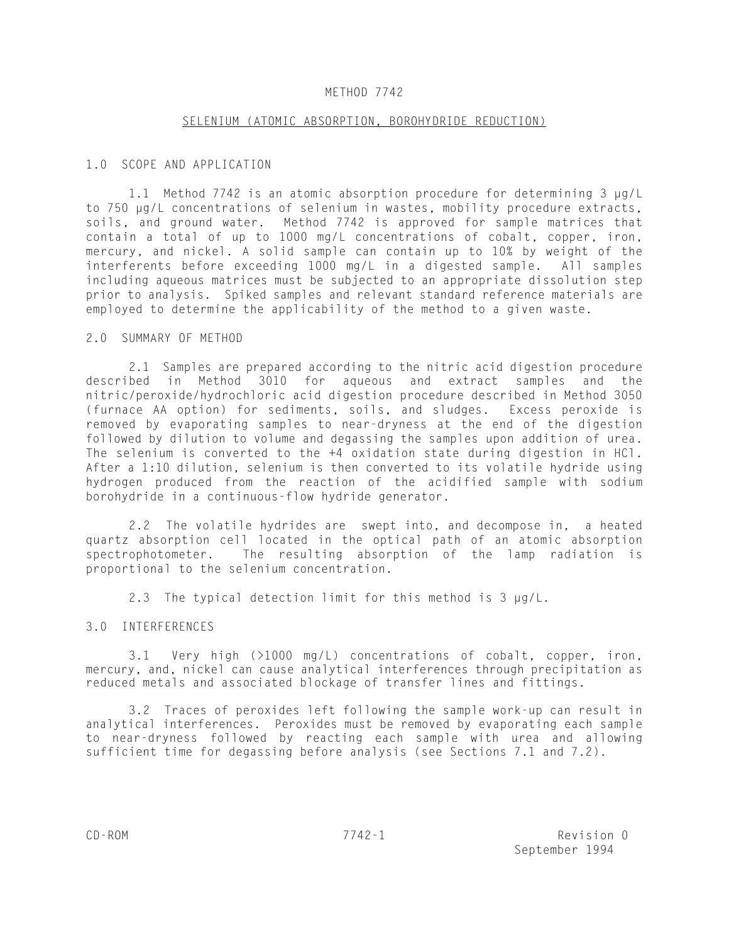## METHOD 7742

#### SELENIUM (ATOMIC ABSORPTION, BOROHYDRIDE REDUCTION)

## 1.0 SCOPE AND APPLICATION

1.1 Method 7742 is an atomic absorption procedure for determining 3 µg/L to 750 µg/L concentrations of selenium in wastes, mobility procedure extracts, soils, and ground water. Method 7742 is approved for sample matrices that contain a total of up to 1000 mg/L concentrations of cobalt, copper, iron, mercury, and nickel. A solid sample can contain up to 10% by weight of the interferents before exceeding 1000 mg/L in a digested sample. All samples including aqueous matrices must be subjected to an appropriate dissolution step prior to analysis. Spiked samples and relevant standard reference materials are employed to determine the applicability of the method to a given waste.

## 2.0 SUMMARY OF METHOD

2.1 Samples are prepared according to the nitric acid digestion procedure described in Method 3010 for aqueous and extract samples and the nitric/peroxide/hydrochloric acid digestion procedure described in Method 3050 (furnace AA option) for sediments, soils, and sludges. Excess peroxide is removed by evaporating samples to near-dryness at the end of the digestion followed by dilution to volume and degassing the samples upon addition of urea. The selenium is converted to the +4 oxidation state during digestion in HCl. After a 1:10 dilution, selenium is then converted to its volatile hydride using hydrogen produced from the reaction of the acidified sample with sodium borohydride in a continuous-flow hydride generator.

2.2 The volatile hydrides are swept into, and decompose in, a heated quartz absorption cell located in the optical path of an atomic absorption spectrophotometer. The resulting absorption of the lamp radiation is proportional to the selenium concentration.

2.3 The typical detection limit for this method is 3 µg/L.

## 3.0 INTERFERENCES

3.1 Very high (>1000 mg/L) concentrations of cobalt, copper, iron, mercury, and, nickel can cause analytical interferences through precipitation as reduced metals and associated blockage of transfer lines and fittings.

3.2 Traces of peroxides left following the sample work-up can result in analytical interferences. Peroxides must be removed by evaporating each sample to near-dryness followed by reacting each sample with urea and allowing sufficient time for degassing before analysis (see Sections 7.1 and 7.2).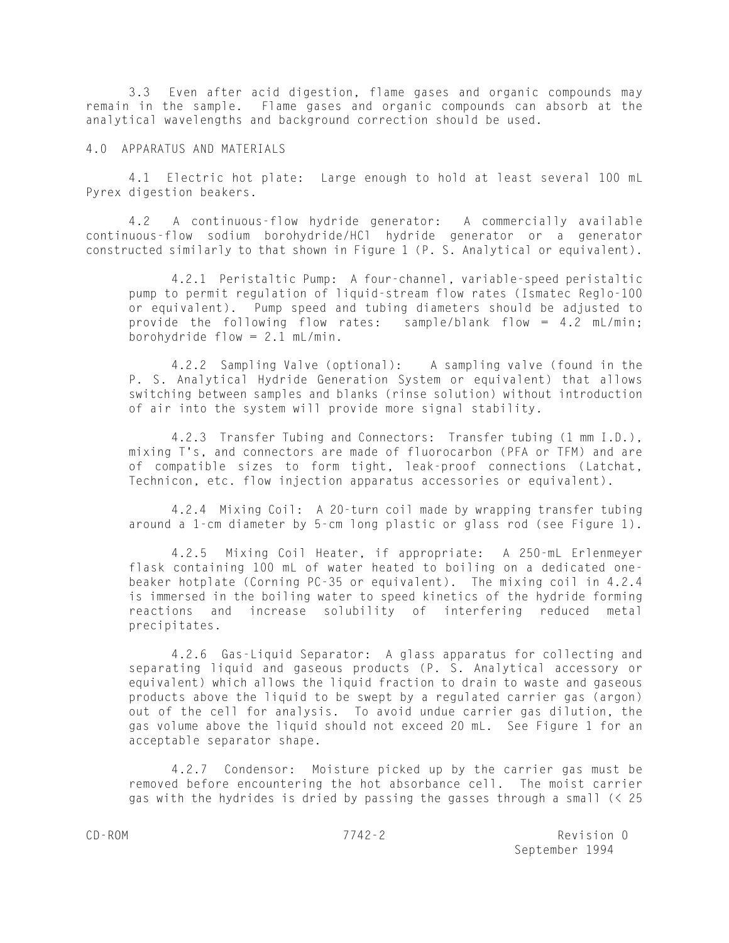3.3 Even after acid digestion, flame gases and organic compounds may remain in the sample. Flame gases and organic compounds can absorb at the analytical wavelengths and background correction should be used.

#### 4.0 APPARATUS AND MATERIALS

4.1 Electric hot plate: Large enough to hold at least several 100 mL Pyrex digestion beakers.

4.2 A continuous-flow hydride generator: A commercially available continuous-flow sodium borohydride/HCl hydride generator or a generator constructed similarly to that shown in Figure 1 (P. S. Analytical or equivalent).

4.2.1 Peristaltic Pump: A four-channel, variable-speed peristaltic pump to permit regulation of liquid-stream flow rates (Ismatec Reglo-100 or equivalent). Pump speed and tubing diameters should be adjusted to provide the following flow rates: sample/blank flow = 4.2 mL/min; borohydride flow =  $2.1$  mL/min.

4.2.2 Sampling Valve (optional): A sampling valve (found in the P. S. Analytical Hydride Generation System or equivalent) that allows switching between samples and blanks (rinse solution) without introduction of air into the system will provide more signal stability.

4.2.3 Transfer Tubing and Connectors: Transfer tubing (1 mm I.D.), mixing T's, and connectors are made of fluorocarbon (PFA or TFM) and are of compatible sizes to form tight, leak-proof connections (Latchat, Technicon, etc. flow injection apparatus accessories or equivalent).

4.2.4 Mixing Coil: A 20-turn coil made by wrapping transfer tubing around a 1-cm diameter by 5-cm long plastic or glass rod (see Figure 1).

4.2.5 Mixing Coil Heater, if appropriate: A 250-mL Erlenmeyer flask containing 100 mL of water heated to boiling on a dedicated onebeaker hotplate (Corning PC-35 or equivalent). The mixing coil in 4.2.4 is immersed in the boiling water to speed kinetics of the hydride forming reactions and increase solubility of interfering reduced metal precipitates.

4.2.6 Gas-Liquid Separator: A glass apparatus for collecting and separating liquid and gaseous products (P. S. Analytical accessory or equivalent) which allows the liquid fraction to drain to waste and gaseous products above the liquid to be swept by a regulated carrier gas (argon) out of the cell for analysis. To avoid undue carrier gas dilution, the gas volume above the liquid should not exceed 20 mL. See Figure 1 for an acceptable separator shape.

4.2.7 Condensor: Moisture picked up by the carrier gas must be removed before encountering the hot absorbance cell. The moist carrier gas with the hydrides is dried by passing the gasses through a small (< 25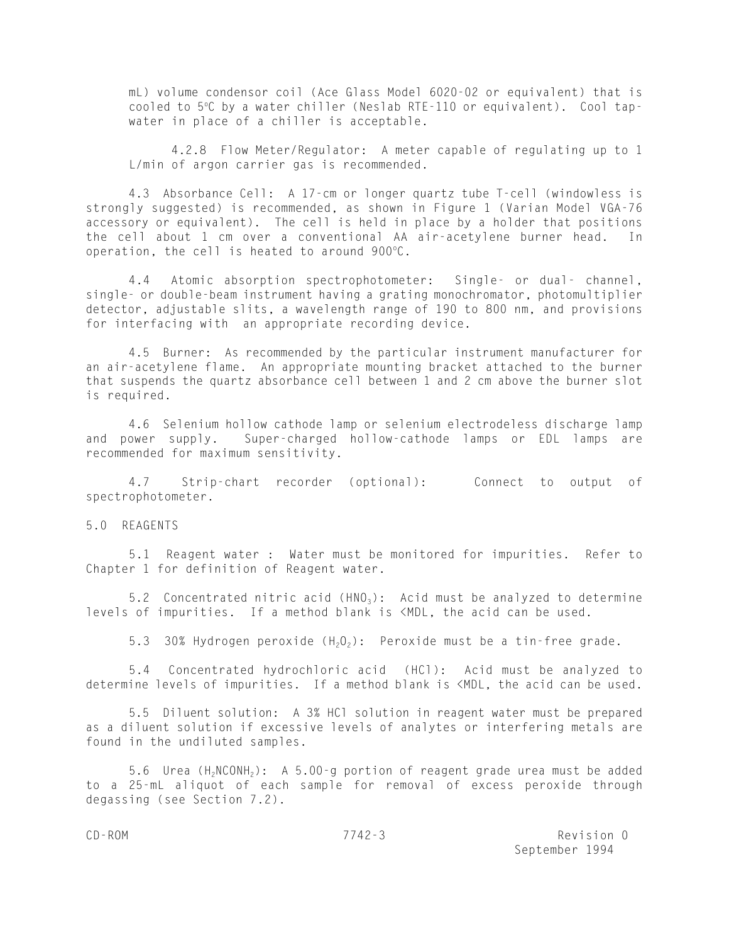mL) volume condensor coil (Ace Glass Model 6020-02 or equivalent) that is cooled to 5°C by a water chiller (Neslab RTE-110 or equivalent). Cool tapwater in place of a chiller is acceptable.

4.2.8 Flow Meter/Regulator: A meter capable of regulating up to 1 L/min of argon carrier gas is recommended.

4.3 Absorbance Cell: A 17-cm or longer quartz tube T-cell (windowless is strongly suggested) is recommended, as shown in Figure 1 (Varian Model VGA-76 accessory or equivalent). The cell is held in place by a holder that positions the cell about 1 cm over a conventional AA air-acetylene burner head. In operation, the cell is heated to around  $900^{\circ}$ C.

4.4 Atomic absorption spectrophotometer: Single- or dual- channel, single- or double-beam instrument having a grating monochromator, photomultiplier detector, adjustable slits, a wavelength range of 190 to 800 nm, and provisions for interfacing with an appropriate recording device.

4.5 Burner: As recommended by the particular instrument manufacturer for an air-acetylene flame. An appropriate mounting bracket attached to the burner that suspends the quartz absorbance cell between 1 and 2 cm above the burner slot is required.

4.6 Selenium hollow cathode lamp or selenium electrodeless discharge lamp and power supply. Super-charged hollow-cathode lamps or EDL lamps are recommended for maximum sensitivity.

4.7 Strip-chart recorder (optional): Connect to output of spectrophotometer.

5.0 REAGENTS

5.1 Reagent water : Water must be monitored for impurities. Refer to Chapter 1 for definition of Reagent water.

5.2 Concentrated nitric acid  $(HNO<sub>3</sub>)$ : Acid must be analyzed to determine levels of impurities. If a method blank is <MDL, the acid can be used.

5.3 30% Hydrogen peroxide  $(H_2O_2)$ : Peroxide must be a tin-free grade.

5.4 Concentrated hydrochloric acid (HCl): Acid must be analyzed to determine levels of impurities. If a method blank is <MDL, the acid can be used.

5.5 Diluent solution: A 3% HCl solution in reagent water must be prepared as a diluent solution if excessive levels of analytes or interfering metals are found in the undiluted samples.

5.6 Urea  $(H_2NCONH_2)$ : A 5.00-g portion of reagent grade urea must be added to a 25-mL aliquot of each sample for removal of excess peroxide through degassing (see Section 7.2).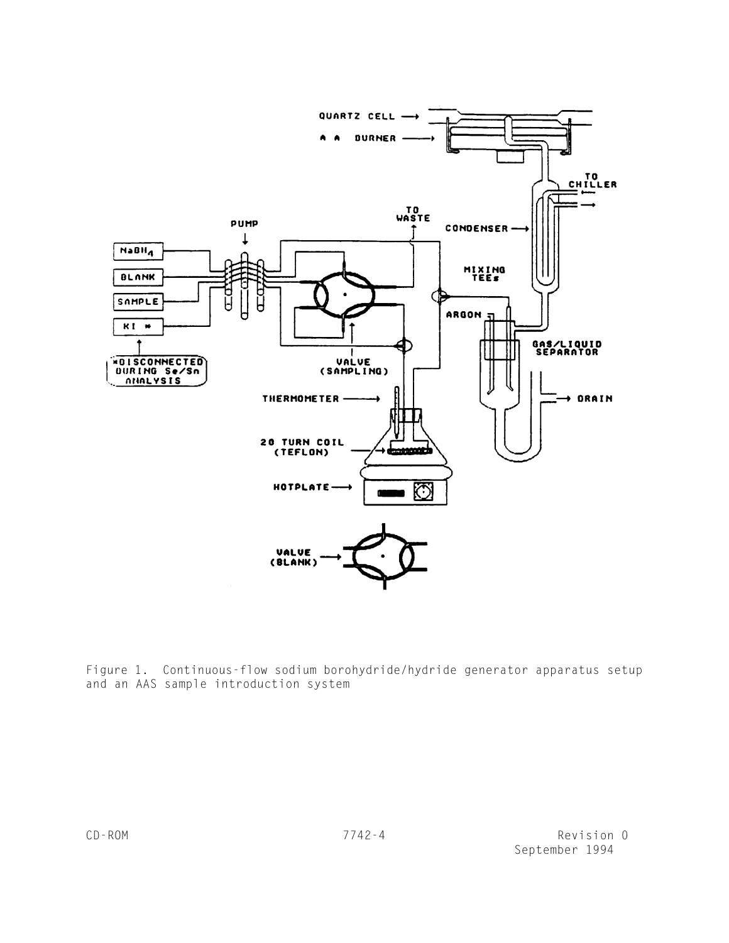

Figure 1. Continuous-flow sodium borohydride/hydride generator apparatus setup and an AAS sample introduction system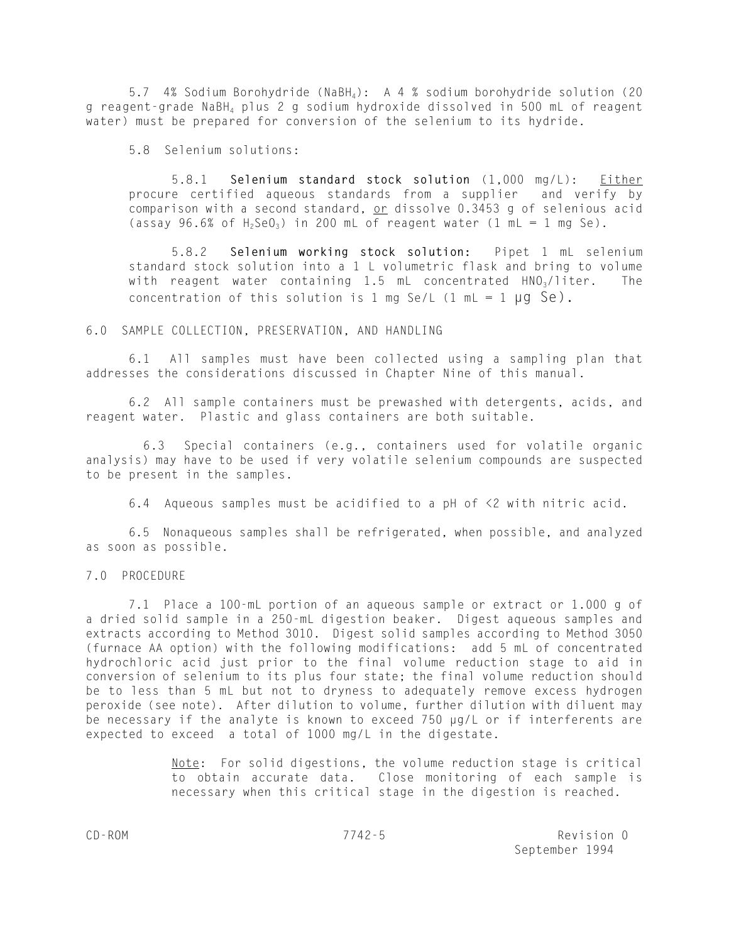5.7 4% Sodium Borohydride (NaBH<sub>4</sub>): A 4 % sodium borohydride solution (20 g reagent-grade NaBH4 plus 2 g sodium hydroxide dissolved in 500 mL of reagent water) must be prepared for conversion of the selenium to its hydride.

5.8 Selenium solutions:

5.8.1 **Selenium standard stock solution** (1,000 mg/L): Either procure certified aqueous standards from a supplier and verify by comparison with a second standard, or dissolve 0.3453 g of selenious acid (assay 96.6% of  $H_2$ SeO<sub>3</sub>) in 200 mL of reagent water (1 mL = 1 mg Se).

5.8.2 **Selenium working stock solution:** Pipet 1 mL selenium standard stock solution into a 1 L volumetric flask and bring to volume with reagent water containing 1.5 mL concentrated  $HNO<sub>3</sub>/liter$ . The concentration of this solution is 1 mg Se/L  $(1 \text{ mL} = 1 \text{ µq} \text{ Se})$ .

#### 6.0 SAMPLE COLLECTION, PRESERVATION, AND HANDLING

6.1 All samples must have been collected using a sampling plan that addresses the considerations discussed in Chapter Nine of this manual.

6.2 All sample containers must be prewashed with detergents, acids, and reagent water. Plastic and glass containers are both suitable.

 6.3 Special containers (e.g., containers used for volatile organic analysis) may have to be used if very volatile selenium compounds are suspected to be present in the samples.

6.4 Aqueous samples must be acidified to a pH of <2 with nitric acid.

6.5 Nonaqueous samples shall be refrigerated, when possible, and analyzed as soon as possible.

#### 7.0 PROCEDURE

7.1 Place a 100-mL portion of an aqueous sample or extract or 1.000 g of a dried solid sample in a 250-mL digestion beaker. Digest aqueous samples and extracts according to Method 3010. Digest solid samples according to Method 3050 (furnace AA option) with the following modifications: add 5 mL of concentrated hydrochloric acid just prior to the final volume reduction stage to aid in conversion of selenium to its plus four state; the final volume reduction should be to less than 5 mL but not to dryness to adequately remove excess hydrogen peroxide (see note). After dilution to volume, further dilution with diluent may be necessary if the analyte is known to exceed 750 µg/L or if interferents are expected to exceed a total of 1000 mg/L in the digestate.

> Note: For solid digestions, the volume reduction stage is critical to obtain accurate data. Close monitoring of each sample is necessary when this critical stage in the digestion is reached.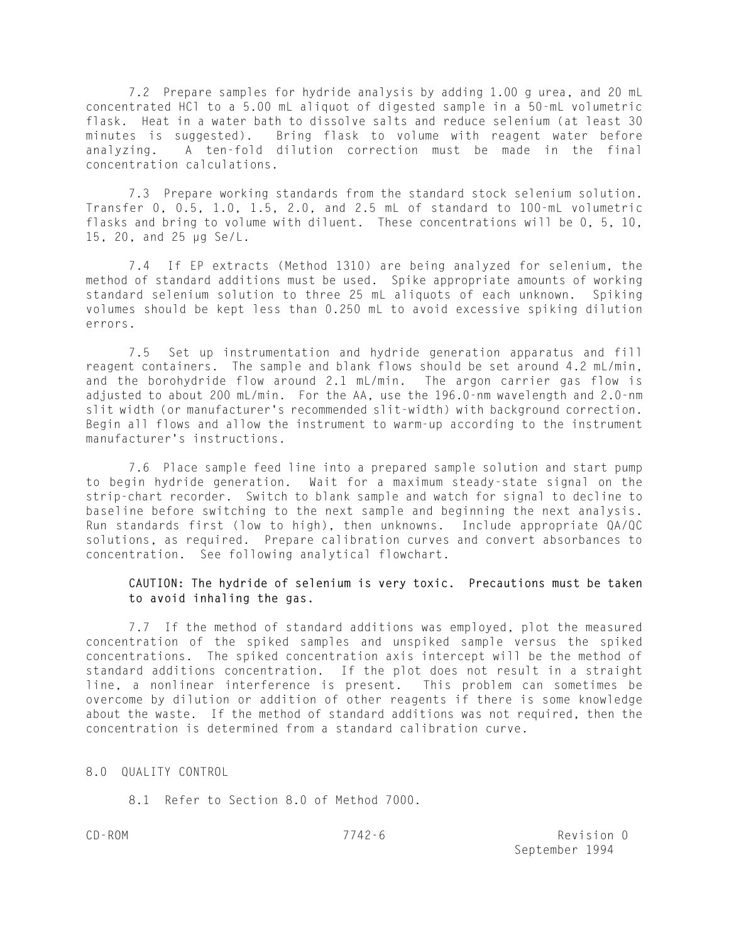7.2 Prepare samples for hydride analysis by adding 1.00 g urea, and 20 mL concentrated HCl to a 5.00 mL aliquot of digested sample in a 50-mL volumetric flask. Heat in a water bath to dissolve salts and reduce selenium (at least 30 minutes is suggested). Bring flask to volume with reagent water before analyzing. A ten-fold dilution correction must be made in the final concentration calculations.

7.3 Prepare working standards from the standard stock selenium solution. Transfer 0, 0.5, 1.0, 1.5, 2.0, and 2.5 mL of standard to 100-mL volumetric flasks and bring to volume with diluent. These concentrations will be 0, 5, 10, 15, 20, and 25 µg Se/L.

7.4 If EP extracts (Method 1310) are being analyzed for selenium, the method of standard additions must be used. Spike appropriate amounts of working standard selenium solution to three 25 mL aliquots of each unknown. Spiking volumes should be kept less than 0.250 mL to avoid excessive spiking dilution errors.

7.5 Set up instrumentation and hydride generation apparatus and fill reagent containers. The sample and blank flows should be set around 4.2 mL/min, and the borohydride flow around 2.1 mL/min. The argon carrier gas flow is adjusted to about 200 mL/min. For the AA, use the 196.0-nm wavelength and 2.0-nm slit width (or manufacturer's recommended slit-width) with background correction. Begin all flows and allow the instrument to warm-up according to the instrument manufacturer's instructions.

7.6 Place sample feed line into a prepared sample solution and start pump to begin hydride generation. Wait for a maximum steady-state signal on the strip-chart recorder. Switch to blank sample and watch for signal to decline to baseline before switching to the next sample and beginning the next analysis. Run standards first (low to high), then unknowns. Include appropriate QA/QC solutions, as required. Prepare calibration curves and convert absorbances to concentration. See following analytical flowchart.

# **CAUTION: The hydride of selenium is very toxic. Precautions must be taken to avoid inhaling the gas.**

7.7 If the method of standard additions was employed, plot the measured concentration of the spiked samples and unspiked sample versus the spiked concentrations. The spiked concentration axis intercept will be the method of standard additions concentration. If the plot does not result in a straight line, a nonlinear interference is present. This problem can sometimes be overcome by dilution or addition of other reagents if there is some knowledge about the waste. If the method of standard additions was not required, then the concentration is determined from a standard calibration curve.

## 8.0 QUALITY CONTROL

8.1 Refer to Section 8.0 of Method 7000.

CD-ROM 7742-6 Revision 0 September 1994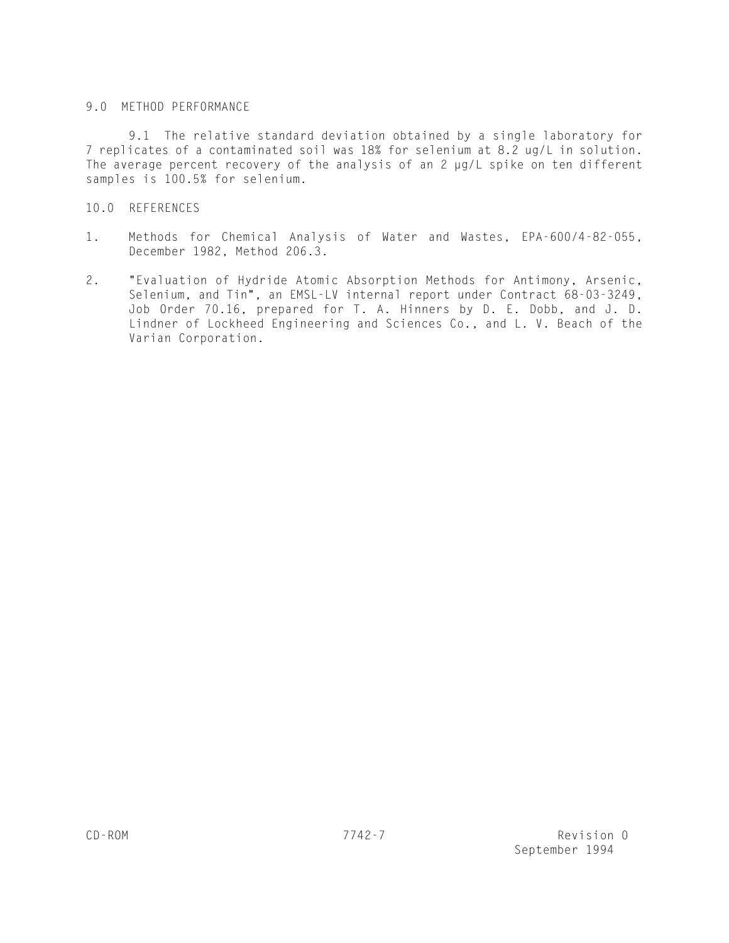# 9.0 METHOD PERFORMANCE

9.1 The relative standard deviation obtained by a single laboratory for 7 replicates of a contaminated soil was 18% for selenium at 8.2 ug/L in solution. The average percent recovery of the analysis of an 2 µg/L spike on ten different samples is 100.5% for selenium.

# 10.0 REFERENCES

- 1. Methods for Chemical Analysis of Water and Wastes, EPA-600/4-82-055, December 1982, Method 206.3.
- 2. "Evaluation of Hydride Atomic Absorption Methods for Antimony, Arsenic, Selenium, and Tin", an EMSL-LV internal report under Contract 68-03-3249, Job Order 70.16, prepared for T. A. Hinners by D. E. Dobb, and J. D. Lindner of Lockheed Engineering and Sciences Co., and L. V. Beach of the Varian Corporation.